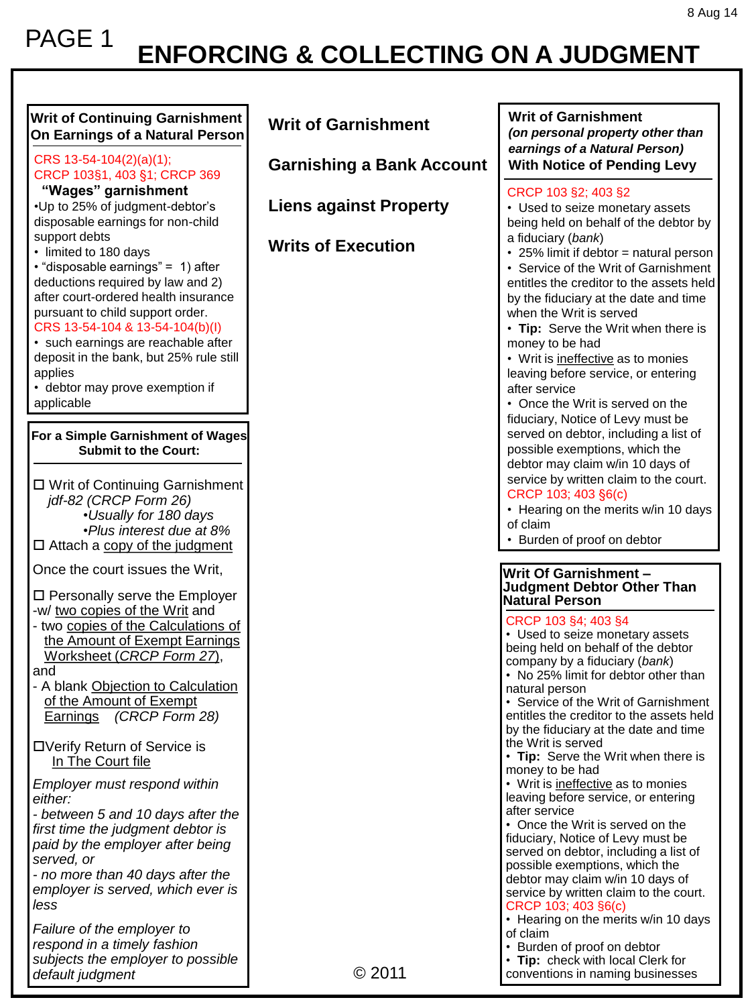## **ENFORCING & COLLECTING ON A JUDGMENT** PAGE 1

| <b>Writ of Continuing Garnishment</b><br>On Earnings of a Natural Person<br>CRS 13-54-104(2)(a)(1);                                                                                                                                                                                                                                                                                                                                                                                                           | <b>Writ of Garnishment</b><br><b>Garnishing a Bank Account</b> | <b>Writ of Garnishment</b><br>(on personal property other than<br>earnings of a Natural Person)<br><b>With Notice of Pending Levy</b>                                                                                                                                                                                                                                                                                                                                                                                                                           |
|---------------------------------------------------------------------------------------------------------------------------------------------------------------------------------------------------------------------------------------------------------------------------------------------------------------------------------------------------------------------------------------------------------------------------------------------------------------------------------------------------------------|----------------------------------------------------------------|-----------------------------------------------------------------------------------------------------------------------------------------------------------------------------------------------------------------------------------------------------------------------------------------------------------------------------------------------------------------------------------------------------------------------------------------------------------------------------------------------------------------------------------------------------------------|
| CRCP 103§1, 403 §1; CRCP 369<br>"Wages" garnishment<br>•Up to 25% of judgment-debtor's<br>disposable earnings for non-child<br>support debts<br>• limited to 180 days<br>• "disposable earnings" = 1) after<br>deductions required by law and 2)<br>after court-ordered health insurance<br>pursuant to child support order.<br>CRS 13-54-104 & 13-54-104(b)(l)<br>· such earnings are reachable after<br>deposit in the bank, but 25% rule still<br>applies<br>• debtor may prove exemption if<br>applicable | <b>Liens against Property</b><br><b>Writs of Execution</b>     | CRCP 103 §2; 403 §2<br>• Used to seize monetary assets<br>being held on behalf of the debtor by<br>a fiduciary (bank)<br>• 25% limit if debtor = natural person<br>• Service of the Writ of Garnishment<br>entitles the creditor to the assets held<br>by the fiduciary at the date and time<br>when the Writ is served<br>• Tip: Serve the Writ when there is<br>money to be had<br>• Writ is <i>ineffective</i> as to monies<br>leaving before service, or entering<br>after service<br>• Once the Writ is served on the<br>fiduciary, Notice of Levy must be |
| For a Simple Garnishment of Wages<br><b>Submit to the Court:</b><br>□ Writ of Continuing Garnishment                                                                                                                                                                                                                                                                                                                                                                                                          |                                                                | served on debtor, including a list of<br>possible exemptions, which the<br>debtor may claim w/in 10 days of<br>service by written claim to the court.                                                                                                                                                                                                                                                                                                                                                                                                           |
| jdf-82 (CRCP Form 26)<br>•Usually for 180 days<br>•Plus interest due at 8%<br>$\Box$ Attach a copy of the judgment                                                                                                                                                                                                                                                                                                                                                                                            |                                                                | CRCP 103; 403 §6(c)<br>• Hearing on the merits w/in 10 days<br>of claim<br>• Burden of proof on debtor                                                                                                                                                                                                                                                                                                                                                                                                                                                          |
| Once the court issues the Writ,                                                                                                                                                                                                                                                                                                                                                                                                                                                                               |                                                                | Writ Of Garnishment -                                                                                                                                                                                                                                                                                                                                                                                                                                                                                                                                           |
| □ Personally serve the Employer                                                                                                                                                                                                                                                                                                                                                                                                                                                                               |                                                                | <b>Judgment Debtor Other Than</b><br>Natural Person                                                                                                                                                                                                                                                                                                                                                                                                                                                                                                             |
| -w/ two copies of the Writ and<br>- two copies of the Calculations of<br>the Amount of Exempt Earnings<br>Worksheet (CRCP Form 27),<br>and<br>- A blank Objection to Calculation<br>of the Amount of Exempt<br>Earnings (CRCP Form 28)                                                                                                                                                                                                                                                                        |                                                                | CRCP 103 §4; 403 §4<br>• Used to seize monetary assets<br>being held on behalf of the debtor<br>company by a fiduciary (bank)<br>• No 25% limit for debtor other than<br>natural person<br>• Service of the Writ of Garnishment<br>entitles the creditor to the assets held<br>by the fiduciary at the date and time                                                                                                                                                                                                                                            |
| □Verify Return of Service is<br>In The Court file                                                                                                                                                                                                                                                                                                                                                                                                                                                             |                                                                | the Writ is served<br>• Tip: Serve the Writ when there is<br>money to be had                                                                                                                                                                                                                                                                                                                                                                                                                                                                                    |
| Employer must respond within<br>either:<br>- between 5 and 10 days after the<br>first time the judgment debtor is<br>paid by the employer after being<br>served, or<br>- no more than 40 days after the<br>employer is served, which ever is<br>less                                                                                                                                                                                                                                                          |                                                                | • Writ is ineffective as to monies<br>leaving before service, or entering<br>after service<br>• Once the Writ is served on the<br>fiduciary, Notice of Levy must be<br>served on debtor, including a list of<br>possible exemptions, which the<br>debtor may claim w/in 10 days of<br>service by written claim to the court.<br>CRCP 103; 403 §6(c)                                                                                                                                                                                                             |
| Failure of the employer to<br>respond in a timely fashion<br>subjects the employer to possible<br>default judgment                                                                                                                                                                                                                                                                                                                                                                                            | © 2011                                                         | • Hearing on the merits w/in 10 days<br>of claim<br>• Burden of proof on debtor<br>• Tip: check with local Clerk for<br>conventions in naming businesses                                                                                                                                                                                                                                                                                                                                                                                                        |